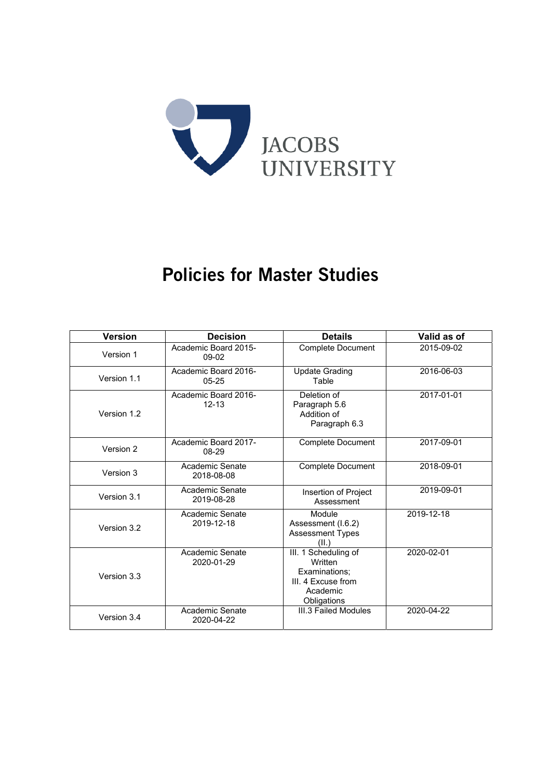

# Policies for Master Studies

| <b>Version</b> | <b>Decision</b>                   | <b>Details</b>                                                                                    | Valid as of |
|----------------|-----------------------------------|---------------------------------------------------------------------------------------------------|-------------|
| Version 1      | Academic Board 2015-<br>09-02     | <b>Complete Document</b>                                                                          | 2015-09-02  |
| Version 1.1    | Academic Board 2016-<br>$05 - 25$ | <b>Update Grading</b><br>Table                                                                    | 2016-06-03  |
| Version 1.2    | Academic Board 2016-<br>$12 - 13$ | Deletion of<br>Paragraph 5.6<br>Addition of<br>Paragraph 6.3                                      | 2017-01-01  |
| Version 2      | Academic Board 2017-<br>08-29     | <b>Complete Document</b>                                                                          | 2017-09-01  |
| Version 3      | Academic Senate<br>2018-08-08     | <b>Complete Document</b>                                                                          | 2018-09-01  |
| Version 3.1    | Academic Senate<br>2019-08-28     | Insertion of Project<br>Assessment                                                                | 2019-09-01  |
| Version 3.2    | Academic Senate<br>2019-12-18     | Module<br>Assessment (I.6.2)<br><b>Assessment Types</b><br>(IL)                                   | 2019-12-18  |
| Version 3.3    | Academic Senate<br>2020-01-29     | III. 1 Scheduling of<br>Written<br>Examinations:<br>III. 4 Excuse from<br>Academic<br>Obligations | 2020-02-01  |
| Version 3.4    | Academic Senate<br>2020-04-22     | III.3 Failed Modules                                                                              | 2020-04-22  |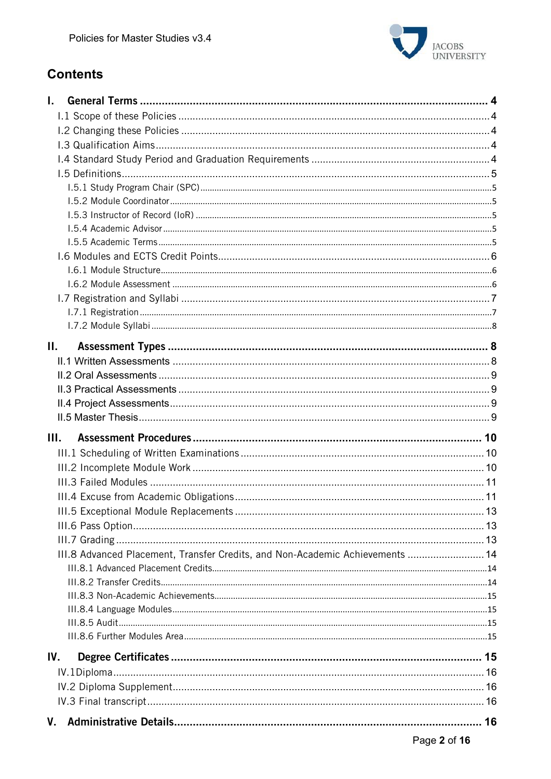

# **Contents**

| L.   |                                                                               |  |
|------|-------------------------------------------------------------------------------|--|
|      |                                                                               |  |
|      |                                                                               |  |
|      |                                                                               |  |
|      |                                                                               |  |
|      |                                                                               |  |
|      |                                                                               |  |
|      |                                                                               |  |
|      |                                                                               |  |
|      |                                                                               |  |
|      |                                                                               |  |
|      |                                                                               |  |
|      |                                                                               |  |
|      |                                                                               |  |
|      |                                                                               |  |
|      |                                                                               |  |
|      |                                                                               |  |
| Н.   |                                                                               |  |
|      |                                                                               |  |
|      |                                                                               |  |
|      |                                                                               |  |
|      |                                                                               |  |
|      |                                                                               |  |
| III. |                                                                               |  |
|      |                                                                               |  |
|      |                                                                               |  |
|      |                                                                               |  |
|      |                                                                               |  |
|      |                                                                               |  |
|      |                                                                               |  |
|      |                                                                               |  |
|      | III.8 Advanced Placement, Transfer Credits, and Non-Academic Achievements  14 |  |
|      |                                                                               |  |
|      |                                                                               |  |
|      |                                                                               |  |
|      |                                                                               |  |
|      |                                                                               |  |
|      |                                                                               |  |
| IV.  |                                                                               |  |
|      |                                                                               |  |
|      |                                                                               |  |
|      |                                                                               |  |
|      |                                                                               |  |
|      |                                                                               |  |
|      |                                                                               |  |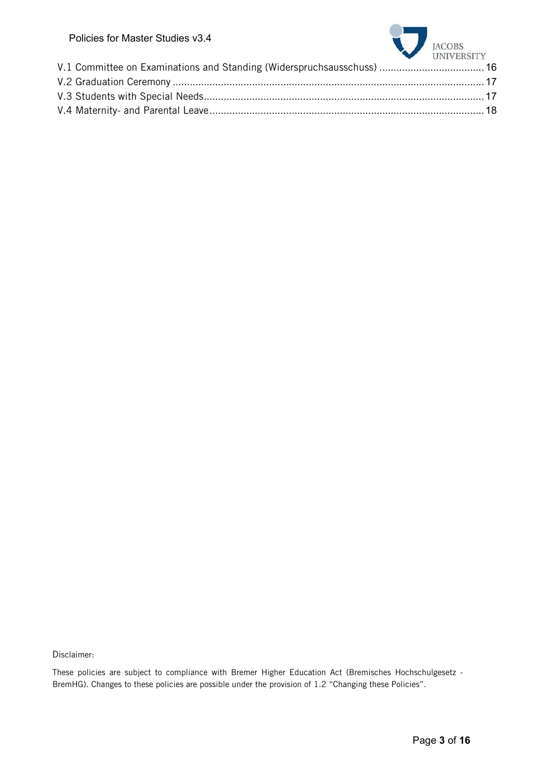| POIICIES TOT MASTER STUDIES V3.4                                       | JACOBS UNIVERSITY |
|------------------------------------------------------------------------|-------------------|
| V.1 Committee on Examinations and Standing (Widerspruchsausschuss)  16 |                   |
|                                                                        |                   |
|                                                                        |                   |
|                                                                        |                   |
|                                                                        |                   |

Disclaimer:

These policies are subject to compliance with Bremer Higher Education Act (Bremisches Hochschulgesetz - BremHG). Changes to these policies are possible under the provision of 1.2 "Changing these Policies".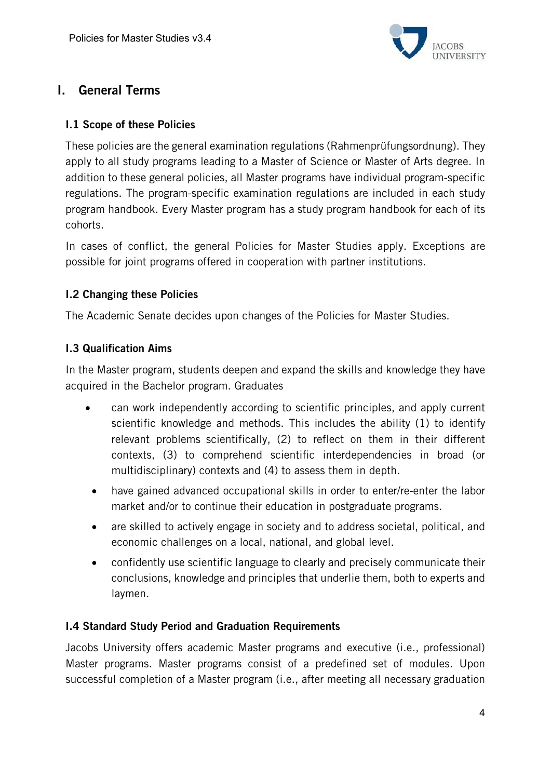

# I. General Terms

#### I.1 Scope of these Policies

These policies are the general examination regulations (Rahmenprüfungsordnung). They apply to all study programs leading to a Master of Science or Master of Arts degree. In addition to these general policies, all Master programs have individual program-specific regulations. The program-specific examination regulations are included in each study program handbook. Every Master program has a study program handbook for each of its cohorts.

In cases of conflict, the general Policies for Master Studies apply. Exceptions are possible for joint programs offered in cooperation with partner institutions.

#### I.2 Changing these Policies

The Academic Senate decides upon changes of the Policies for Master Studies.

#### I.3 Qualification Aims

In the Master program, students deepen and expand the skills and knowledge they have acquired in the Bachelor program. Graduates

- can work independently according to scientific principles, and apply current scientific knowledge and methods. This includes the ability (1) to identify relevant problems scientifically, (2) to reflect on them in their different contexts, (3) to comprehend scientific interdependencies in broad (or multidisciplinary) contexts and (4) to assess them in depth.
- have gained advanced occupational skills in order to enter/re-enter the labor market and/or to continue their education in postgraduate programs.
- are skilled to actively engage in society and to address societal, political, and economic challenges on a local, national, and global level.
- confidently use scientific language to clearly and precisely communicate their conclusions, knowledge and principles that underlie them, both to experts and laymen.

#### I.4 Standard Study Period and Graduation Requirements

Jacobs University offers academic Master programs and executive (i.e., professional) Master programs. Master programs consist of a predefined set of modules. Upon successful completion of a Master program (i.e., after meeting all necessary graduation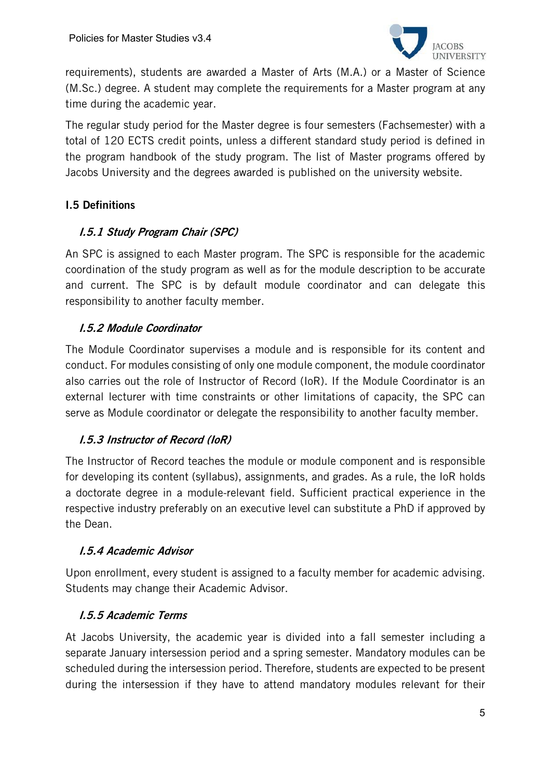

requirements), students are awarded a Master of Arts (M.A.) or a Master of Science (M.Sc.) degree. A student may complete the requirements for a Master program at any time during the academic year.

The regular study period for the Master degree is four semesters (Fachsemester) with a total of 120 ECTS credit points, unless a different standard study period is defined in the program handbook of the study program. The list of Master programs offered by Jacobs University and the degrees awarded is published on the university website.

## I.5 Definitions

#### I.5.1 Study Program Chair (SPC)

An SPC is assigned to each Master program. The SPC is responsible for the academic coordination of the study program as well as for the module description to be accurate and current. The SPC is by default module coordinator and can delegate this responsibility to another faculty member.

#### I.5.2 Module Coordinator

The Module Coordinator supervises a module and is responsible for its content and conduct. For modules consisting of only one module component, the module coordinator also carries out the role of Instructor of Record (IoR). If the Module Coordinator is an external lecturer with time constraints or other limitations of capacity, the SPC can serve as Module coordinator or delegate the responsibility to another faculty member.

#### I.5.3 Instructor of Record (IoR)

The Instructor of Record teaches the module or module component and is responsible for developing its content (syllabus), assignments, and grades. As a rule, the IoR holds a doctorate degree in a module-relevant field. Sufficient practical experience in the respective industry preferably on an executive level can substitute a PhD if approved by the Dean.

#### I.5.4 Academic Advisor

Upon enrollment, every student is assigned to a faculty member for academic advising. Students may change their Academic Advisor.

#### I.5.5 Academic Terms

At Jacobs University, the academic year is divided into a fall semester including a separate January intersession period and a spring semester. Mandatory modules can be scheduled during the intersession period. Therefore, students are expected to be present during the intersession if they have to attend mandatory modules relevant for their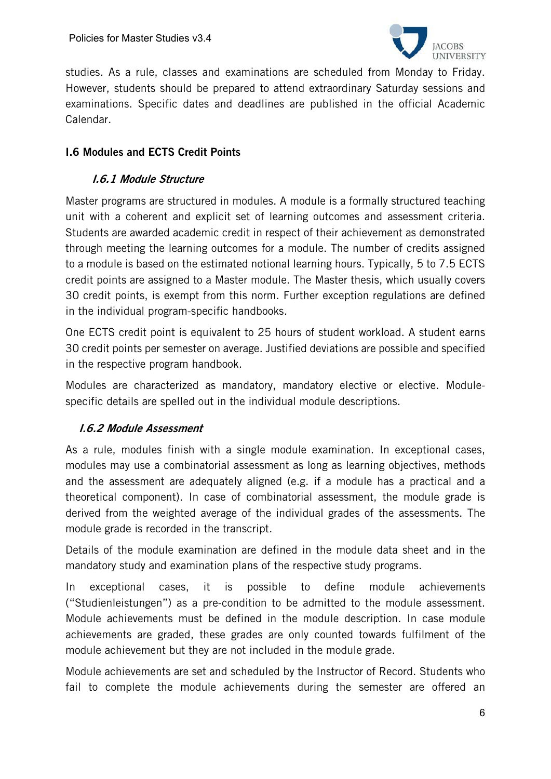

studies. As a rule, classes and examinations are scheduled from Monday to Friday. However, students should be prepared to attend extraordinary Saturday sessions and examinations. Specific dates and deadlines are published in the official Academic Calendar.

#### I.6 Modules and ECTS Credit Points

#### I.6.1 Module Structure

Master programs are structured in modules. A module is a formally structured teaching unit with a coherent and explicit set of learning outcomes and assessment criteria. Students are awarded academic credit in respect of their achievement as demonstrated through meeting the learning outcomes for a module. The number of credits assigned to a module is based on the estimated notional learning hours. Typically, 5 to 7.5 ECTS credit points are assigned to a Master module. The Master thesis, which usually covers 30 credit points, is exempt from this norm. Further exception regulations are defined in the individual program-specific handbooks.

One ECTS credit point is equivalent to 25 hours of student workload. A student earns 30 credit points per semester on average. Justified deviations are possible and specified in the respective program handbook.

Modules are characterized as mandatory, mandatory elective or elective. Modulespecific details are spelled out in the individual module descriptions.

#### I.6.2 Module Assessment

As a rule, modules finish with a single module examination. In exceptional cases, modules may use a combinatorial assessment as long as learning objectives, methods and the assessment are adequately aligned (e.g. if a module has a practical and a theoretical component). In case of combinatorial assessment, the module grade is derived from the weighted average of the individual grades of the assessments. The module grade is recorded in the transcript.

Details of the module examination are defined in the module data sheet and in the mandatory study and examination plans of the respective study programs.

In exceptional cases, it is possible to define module achievements ("Studienleistungen") as a pre-condition to be admitted to the module assessment. Module achievements must be defined in the module description. In case module achievements are graded, these grades are only counted towards fulfilment of the module achievement but they are not included in the module grade.

Module achievements are set and scheduled by the Instructor of Record. Students who fail to complete the module achievements during the semester are offered an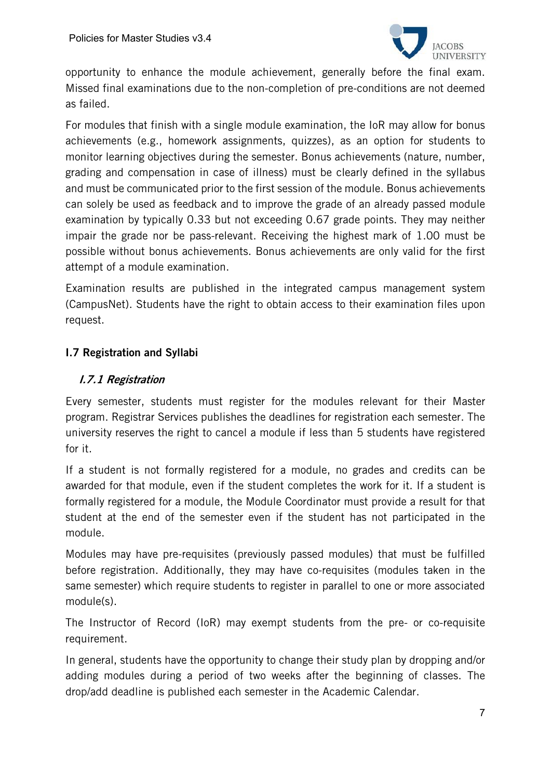

opportunity to enhance the module achievement, generally before the final exam. Missed final examinations due to the non-completion of pre-conditions are not deemed as failed.

For modules that finish with a single module examination, the IoR may allow for bonus achievements (e.g., homework assignments, quizzes), as an option for students to monitor learning objectives during the semester. Bonus achievements (nature, number, grading and compensation in case of illness) must be clearly defined in the syllabus and must be communicated prior to the first session of the module. Bonus achievements can solely be used as feedback and to improve the grade of an already passed module examination by typically 0.33 but not exceeding 0.67 grade points. They may neither impair the grade nor be pass-relevant. Receiving the highest mark of 1.00 must be possible without bonus achievements. Bonus achievements are only valid for the first attempt of a module examination.

Examination results are published in the integrated campus management system (CampusNet). Students have the right to obtain access to their examination files upon request.

#### I.7 Registration and Syllabi

#### I.7.1 Registration

Every semester, students must register for the modules relevant for their Master program. Registrar Services publishes the deadlines for registration each semester. The university reserves the right to cancel a module if less than 5 students have registered for it.

If a student is not formally registered for a module, no grades and credits can be awarded for that module, even if the student completes the work for it. If a student is formally registered for a module, the Module Coordinator must provide a result for that student at the end of the semester even if the student has not participated in the module.

Modules may have pre-requisites (previously passed modules) that must be fulfilled before registration. Additionally, they may have co-requisites (modules taken in the same semester) which require students to register in parallel to one or more associated module(s).

The Instructor of Record (IoR) may exempt students from the pre- or co-requisite requirement.

In general, students have the opportunity to change their study plan by dropping and/or adding modules during a period of two weeks after the beginning of classes. The drop/add deadline is published each semester in the Academic Calendar.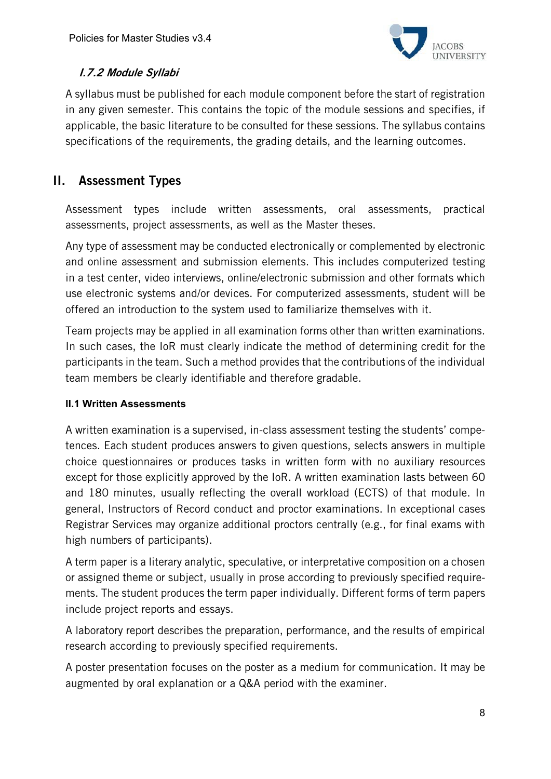

## I.7.2 Module Syllabi

A syllabus must be published for each module component before the start of registration in any given semester. This contains the topic of the module sessions and specifies, if applicable, the basic literature to be consulted for these sessions. The syllabus contains specifications of the requirements, the grading details, and the learning outcomes.

# II. Assessment Types

Assessment types include written assessments, oral assessments, practical assessments, project assessments, as well as the Master theses.

Any type of assessment may be conducted electronically or complemented by electronic and online assessment and submission elements. This includes computerized testing in a test center, video interviews, online/electronic submission and other formats which use electronic systems and/or devices. For computerized assessments, student will be offered an introduction to the system used to familiarize themselves with it.

Team projects may be applied in all examination forms other than written examinations. In such cases, the IoR must clearly indicate the method of determining credit for the participants in the team. Such a method provides that the contributions of the individual team members be clearly identifiable and therefore gradable.

#### **II.1 Written Assessments**

A written examination is a supervised, in-class assessment testing the students' competences. Each student produces answers to given questions, selects answers in multiple choice questionnaires or produces tasks in written form with no auxiliary resources except for those explicitly approved by the IoR. A written examination lasts between 60 and 180 minutes, usually reflecting the overall workload (ECTS) of that module. In general, Instructors of Record conduct and proctor examinations. In exceptional cases Registrar Services may organize additional proctors centrally (e.g., for final exams with high numbers of participants).

A term paper is a literary analytic, speculative, or interpretative composition on a chosen or assigned theme or subject, usually in prose according to previously specified requirements. The student produces the term paper individually. Different forms of term papers include project reports and essays.

A laboratory report describes the preparation, performance, and the results of empirical research according to previously specified requirements.

A poster presentation focuses on the poster as a medium for communication. It may be augmented by oral explanation or a Q&A period with the examiner.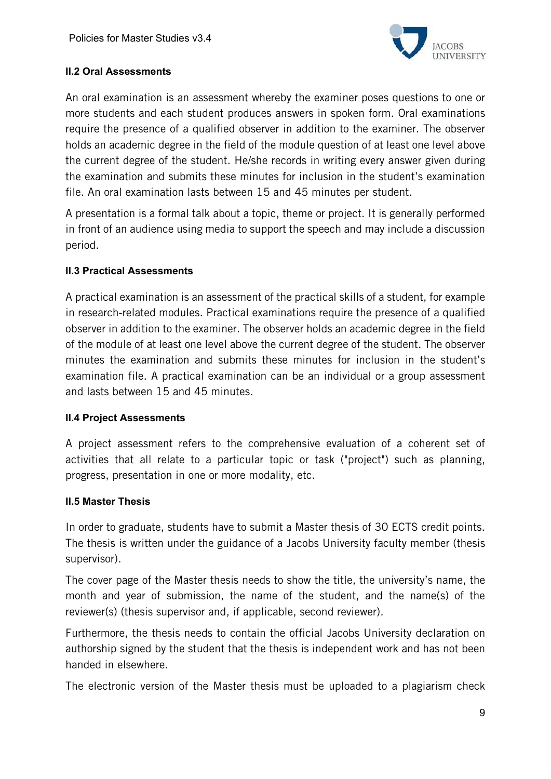

#### **II.2 Oral Assessments**

An oral examination is an assessment whereby the examiner poses questions to one or more students and each student produces answers in spoken form. Oral examinations require the presence of a qualified observer in addition to the examiner. The observer holds an academic degree in the field of the module question of at least one level above the current degree of the student. He/she records in writing every answer given during the examination and submits these minutes for inclusion in the student's examination file. An oral examination lasts between 15 and 45 minutes per student.

A presentation is a formal talk about a topic, theme or project. It is generally performed in front of an audience using media to support the speech and may include a discussion period.

#### **II.3 Practical Assessments**

A practical examination is an assessment of the practical skills of a student, for example in research-related modules. Practical examinations require the presence of a qualified observer in addition to the examiner. The observer holds an academic degree in the field of the module of at least one level above the current degree of the student. The observer minutes the examination and submits these minutes for inclusion in the student's examination file. A practical examination can be an individual or a group assessment and lasts between 15 and 45 minutes.

#### **II.4 Project Assessments**

A project assessment refers to the comprehensive evaluation of a coherent set of activities that all relate to a particular topic or task ("project") such as planning, progress, presentation in one or more modality, etc.

#### **II.5 Master Thesis**

In order to graduate, students have to submit a Master thesis of 30 ECTS credit points. The thesis is written under the guidance of a Jacobs University faculty member (thesis supervisor).

The cover page of the Master thesis needs to show the title, the university's name, the month and year of submission, the name of the student, and the name(s) of the reviewer(s) (thesis supervisor and, if applicable, second reviewer).

Furthermore, the thesis needs to contain the official Jacobs University declaration on authorship signed by the student that the thesis is independent work and has not been handed in elsewhere.

The electronic version of the Master thesis must be uploaded to a plagiarism check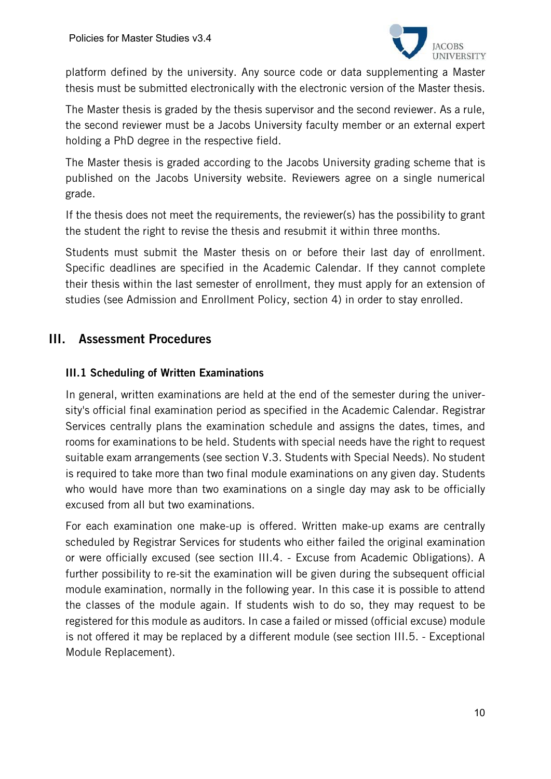

platform defined by the university. Any source code or data supplementing a Master thesis must be submitted electronically with the electronic version of the Master thesis.

The Master thesis is graded by the thesis supervisor and the second reviewer. As a rule, the second reviewer must be a Jacobs University faculty member or an external expert holding a PhD degree in the respective field.

The Master thesis is graded according to the Jacobs University grading scheme that is published on the Jacobs University website. Reviewers agree on a single numerical grade.

If the thesis does not meet the requirements, the reviewer(s) has the possibility to grant the student the right to revise the thesis and resubmit it within three months.

Students must submit the Master thesis on or before their last day of enrollment. Specific deadlines are specified in the Academic Calendar. If they cannot complete their thesis within the last semester of enrollment, they must apply for an extension of studies (see Admission and Enrollment Policy, section 4) in order to stay enrolled.

# III. Assessment Procedures

#### III.1 Scheduling of Written Examinations

In general, written examinations are held at the end of the semester during the university's official final examination period as specified in the Academic Calendar. Registrar Services centrally plans the examination schedule and assigns the dates, times, and rooms for examinations to be held. Students with special needs have the right to request suitable exam arrangements (see section V.3. Students with Special Needs). No student is required to take more than two final module examinations on any given day. Students who would have more than two examinations on a single day may ask to be officially excused from all but two examinations.

For each examination one make-up is offered. Written make-up exams are centrally scheduled by Registrar Services for students who either failed the original examination or were officially excused (see section III.4. - Excuse from Academic Obligations). A further possibility to re-sit the examination will be given during the subsequent official module examination, normally in the following year. In this case it is possible to attend the classes of the module again. If students wish to do so, they may request to be registered for this module as auditors. In case a failed or missed (official excuse) module is not offered it may be replaced by a different module (see section III.5. - Exceptional Module Replacement).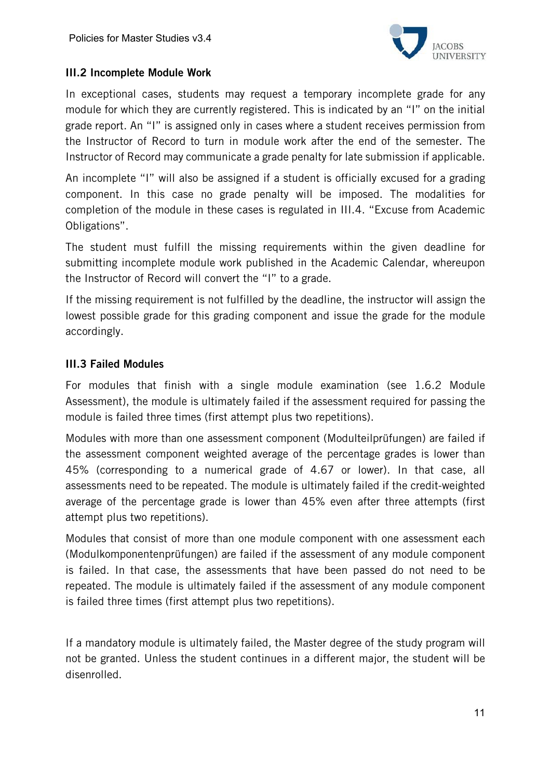

#### III.2 Incomplete Module Work

In exceptional cases, students may request a temporary incomplete grade for any module for which they are currently registered. This is indicated by an "I" on the initial grade report. An "I" is assigned only in cases where a student receives permission from the Instructor of Record to turn in module work after the end of the semester. The Instructor of Record may communicate a grade penalty for late submission if applicable.

An incomplete "I" will also be assigned if a student is officially excused for a grading component. In this case no grade penalty will be imposed. The modalities for completion of the module in these cases is regulated in III.4. "Excuse from Academic Obligations".

The student must fulfill the missing requirements within the given deadline for submitting incomplete module work published in the Academic Calendar, whereupon the Instructor of Record will convert the "I" to a grade.

If the missing requirement is not fulfilled by the deadline, the instructor will assign the lowest possible grade for this grading component and issue the grade for the module accordingly.

#### III.3 Failed Modules

For modules that finish with a single module examination (see 1.6.2 Module Assessment), the module is ultimately failed if the assessment required for passing the module is failed three times (first attempt plus two repetitions).

Modules with more than one assessment component (Modulteilprüfungen) are failed if the assessment component weighted average of the percentage grades is lower than 45% (corresponding to a numerical grade of 4.67 or lower). In that case, all assessments need to be repeated. The module is ultimately failed if the credit-weighted average of the percentage grade is lower than 45% even after three attempts (first attempt plus two repetitions).

Modules that consist of more than one module component with one assessment each (Modulkomponentenprüfungen) are failed if the assessment of any module component is failed. In that case, the assessments that have been passed do not need to be repeated. The module is ultimately failed if the assessment of any module component is failed three times (first attempt plus two repetitions).

If a mandatory module is ultimately failed, the Master degree of the study program will not be granted. Unless the student continues in a different major, the student will be disenrolled.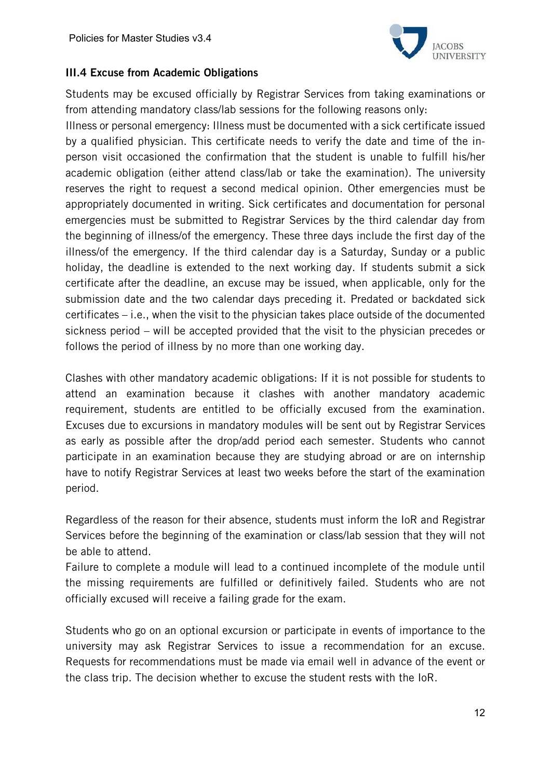

#### III.4 Excuse from Academic Obligations

Students may be excused officially by Registrar Services from taking examinations or from attending mandatory class/lab sessions for the following reasons only:

Illness or personal emergency: Illness must be documented with a sick certificate issued by a qualified physician. This certificate needs to verify the date and time of the inperson visit occasioned the confirmation that the student is unable to fulfill his/her academic obligation (either attend class/lab or take the examination). The university reserves the right to request a second medical opinion. Other emergencies must be appropriately documented in writing. Sick certificates and documentation for personal emergencies must be submitted to Registrar Services by the third calendar day from the beginning of illness/of the emergency. These three days include the first day of the illness/of the emergency. If the third calendar day is a Saturday, Sunday or a public holiday, the deadline is extended to the next working day. If students submit a sick certificate after the deadline, an excuse may be issued, when applicable, only for the submission date and the two calendar days preceding it. Predated or backdated sick certificates – i.e., when the visit to the physician takes place outside of the documented sickness period – will be accepted provided that the visit to the physician precedes or follows the period of illness by no more than one working day.

Clashes with other mandatory academic obligations: If it is not possible for students to attend an examination because it clashes with another mandatory academic requirement, students are entitled to be officially excused from the examination. Excuses due to excursions in mandatory modules will be sent out by Registrar Services as early as possible after the drop/add period each semester. Students who cannot participate in an examination because they are studying abroad or are on internship have to notify Registrar Services at least two weeks before the start of the examination period.

Regardless of the reason for their absence, students must inform the IoR and Registrar Services before the beginning of the examination or class/lab session that they will not be able to attend.

Failure to complete a module will lead to a continued incomplete of the module until the missing requirements are fulfilled or definitively failed. Students who are not officially excused will receive a failing grade for the exam.

Students who go on an optional excursion or participate in events of importance to the university may ask Registrar Services to issue a recommendation for an excuse. Requests for recommendations must be made via email well in advance of the event or the class trip. The decision whether to excuse the student rests with the IoR.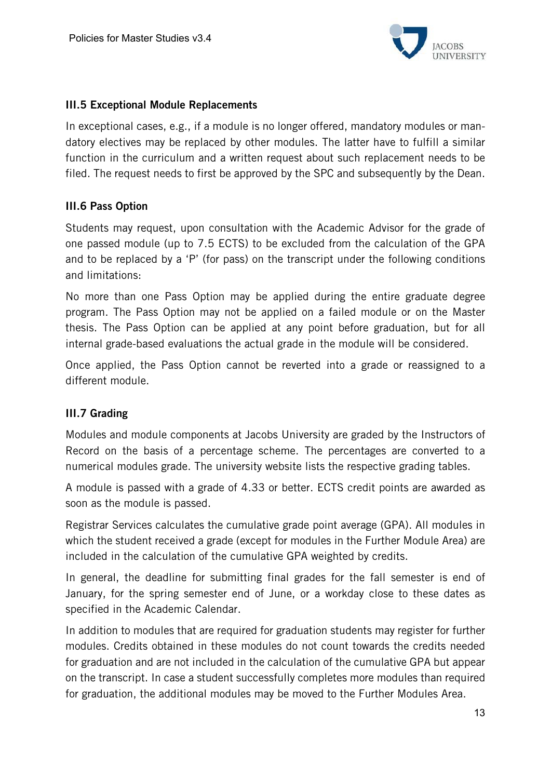

#### III.5 Exceptional Module Replacements

In exceptional cases, e.g., if a module is no longer offered, mandatory modules or mandatory electives may be replaced by other modules. The latter have to fulfill a similar function in the curriculum and a written request about such replacement needs to be filed. The request needs to first be approved by the SPC and subsequently by the Dean.

#### III.6 Pass Option

Students may request, upon consultation with the Academic Advisor for the grade of one passed module (up to 7.5 ECTS) to be excluded from the calculation of the GPA and to be replaced by a 'P' (for pass) on the transcript under the following conditions and limitations:

No more than one Pass Option may be applied during the entire graduate degree program. The Pass Option may not be applied on a failed module or on the Master thesis. The Pass Option can be applied at any point before graduation, but for all internal grade-based evaluations the actual grade in the module will be considered.

Once applied, the Pass Option cannot be reverted into a grade or reassigned to a different module.

#### III.7 Grading

Modules and module components at Jacobs University are graded by the Instructors of Record on the basis of a percentage scheme. The percentages are converted to a numerical modules grade. The university website lists the respective grading tables.

A module is passed with a grade of 4.33 or better. ECTS credit points are awarded as soon as the module is passed.

Registrar Services calculates the cumulative grade point average (GPA). All modules in which the student received a grade (except for modules in the Further Module Area) are included in the calculation of the cumulative GPA weighted by credits.

In general, the deadline for submitting final grades for the fall semester is end of January, for the spring semester end of June, or a workday close to these dates as specified in the Academic Calendar.

In addition to modules that are required for graduation students may register for further modules. Credits obtained in these modules do not count towards the credits needed for graduation and are not included in the calculation of the cumulative GPA but appear on the transcript. In case a student successfully completes more modules than required for graduation, the additional modules may be moved to the Further Modules Area.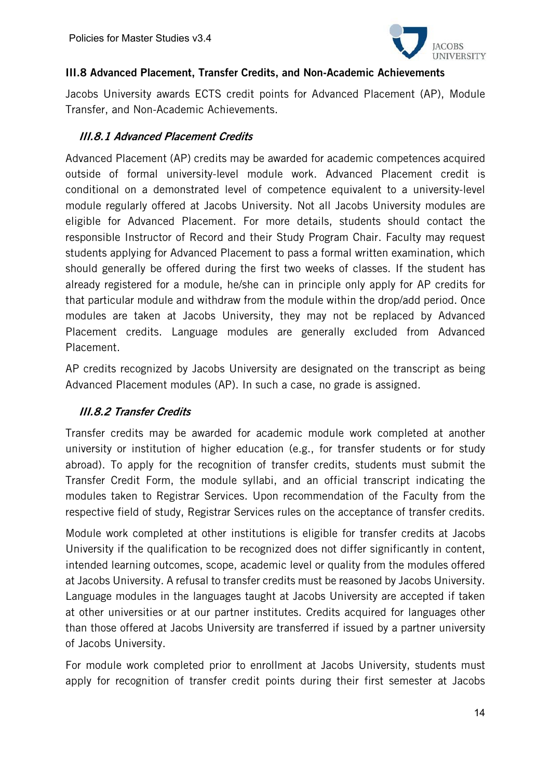

#### III.8 Advanced Placement, Transfer Credits, and Non-Academic Achievements

Jacobs University awards ECTS credit points for Advanced Placement (AP), Module Transfer, and Non-Academic Achievements.

#### III.8.1 Advanced Placement Credits

Advanced Placement (AP) credits may be awarded for academic competences acquired outside of formal university-level module work. Advanced Placement credit is conditional on a demonstrated level of competence equivalent to a university-level module regularly offered at Jacobs University. Not all Jacobs University modules are eligible for Advanced Placement. For more details, students should contact the responsible Instructor of Record and their Study Program Chair. Faculty may request students applying for Advanced Placement to pass a formal written examination, which should generally be offered during the first two weeks of classes. If the student has already registered for a module, he/she can in principle only apply for AP credits for that particular module and withdraw from the module within the drop/add period. Once modules are taken at Jacobs University, they may not be replaced by Advanced Placement credits. Language modules are generally excluded from Advanced Placement.

AP credits recognized by Jacobs University are designated on the transcript as being Advanced Placement modules (AP). In such a case, no grade is assigned.

#### III.8.2 Transfer Credits

Transfer credits may be awarded for academic module work completed at another university or institution of higher education (e.g., for transfer students or for study abroad). To apply for the recognition of transfer credits, students must submit the Transfer Credit Form, the module syllabi, and an official transcript indicating the modules taken to Registrar Services. Upon recommendation of the Faculty from the respective field of study, Registrar Services rules on the acceptance of transfer credits.

Module work completed at other institutions is eligible for transfer credits at Jacobs University if the qualification to be recognized does not differ significantly in content, intended learning outcomes, scope, academic level or quality from the modules offered at Jacobs University. A refusal to transfer credits must be reasoned by Jacobs University. Language modules in the languages taught at Jacobs University are accepted if taken at other universities or at our partner institutes. Credits acquired for languages other than those offered at Jacobs University are transferred if issued by a partner university of Jacobs University.

For module work completed prior to enrollment at Jacobs University, students must apply for recognition of transfer credit points during their first semester at Jacobs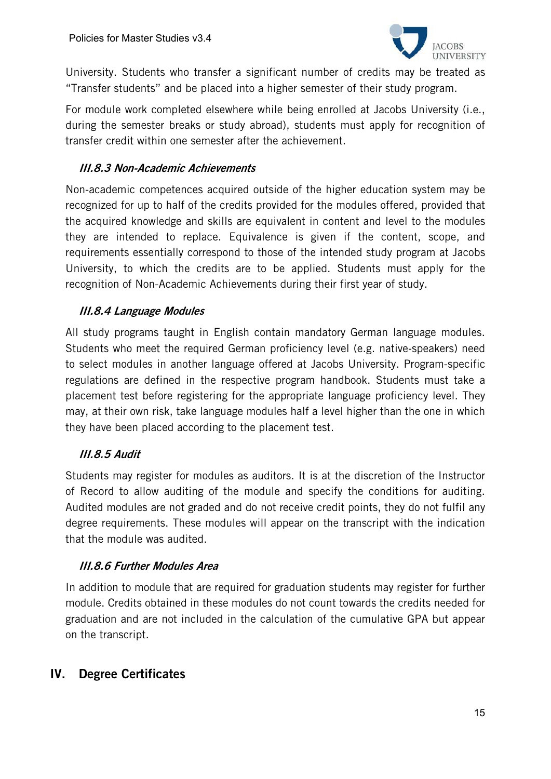

University. Students who transfer a significant number of credits may be treated as "Transfer students" and be placed into a higher semester of their study program.

For module work completed elsewhere while being enrolled at Jacobs University (i.e., during the semester breaks or study abroad), students must apply for recognition of transfer credit within one semester after the achievement.

#### III.8.3 Non-Academic Achievements

Non-academic competences acquired outside of the higher education system may be recognized for up to half of the credits provided for the modules offered, provided that the acquired knowledge and skills are equivalent in content and level to the modules they are intended to replace. Equivalence is given if the content, scope, and requirements essentially correspond to those of the intended study program at Jacobs University, to which the credits are to be applied. Students must apply for the recognition of Non-Academic Achievements during their first year of study.

#### III.8.4 Language Modules

All study programs taught in English contain mandatory German language modules. Students who meet the required German proficiency level (e.g. native-speakers) need to select modules in another language offered at Jacobs University. Program-specific regulations are defined in the respective program handbook. Students must take a placement test before registering for the appropriate language proficiency level. They may, at their own risk, take language modules half a level higher than the one in which they have been placed according to the placement test.

#### III.8.5 Audit

Students may register for modules as auditors. It is at the discretion of the Instructor of Record to allow auditing of the module and specify the conditions for auditing. Audited modules are not graded and do not receive credit points, they do not fulfil any degree requirements. These modules will appear on the transcript with the indication that the module was audited.

#### III.8.6 Further Modules Area

In addition to module that are required for graduation students may register for further module. Credits obtained in these modules do not count towards the credits needed for graduation and are not included in the calculation of the cumulative GPA but appear on the transcript.

# IV. Degree Certificates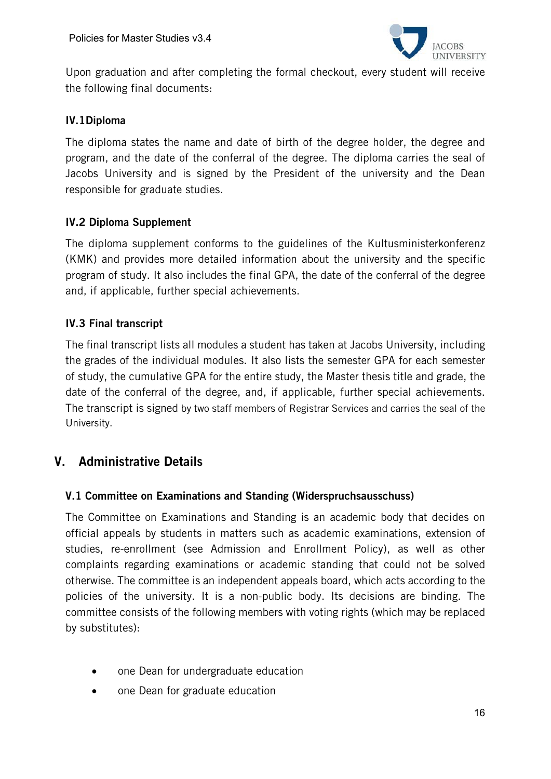

Upon graduation and after completing the formal checkout, every student will receive the following final documents:

#### IV.1Diploma

The diploma states the name and date of birth of the degree holder, the degree and program, and the date of the conferral of the degree. The diploma carries the seal of Jacobs University and is signed by the President of the university and the Dean responsible for graduate studies.

#### IV.2 Diploma Supplement

The diploma supplement conforms to the guidelines of the Kultusministerkonferenz (KMK) and provides more detailed information about the university and the specific program of study. It also includes the final GPA, the date of the conferral of the degree and, if applicable, further special achievements.

#### IV.3 Final transcript

The final transcript lists all modules a student has taken at Jacobs University, including the grades of the individual modules. It also lists the semester GPA for each semester of study, the cumulative GPA for the entire study, the Master thesis title and grade, the date of the conferral of the degree, and, if applicable, further special achievements. The transcript is signed by two staff members of Registrar Services and carries the seal of the University.

# V. Administrative Details

#### V.1 Committee on Examinations and Standing (Widerspruchsausschuss)

The Committee on Examinations and Standing is an academic body that decides on official appeals by students in matters such as academic examinations, extension of studies, re-enrollment (see Admission and Enrollment Policy), as well as other complaints regarding examinations or academic standing that could not be solved otherwise. The committee is an independent appeals board, which acts according to the policies of the university. It is a non-public body. Its decisions are binding. The committee consists of the following members with voting rights (which may be replaced by substitutes):

- one Dean for undergraduate education
- one Dean for graduate education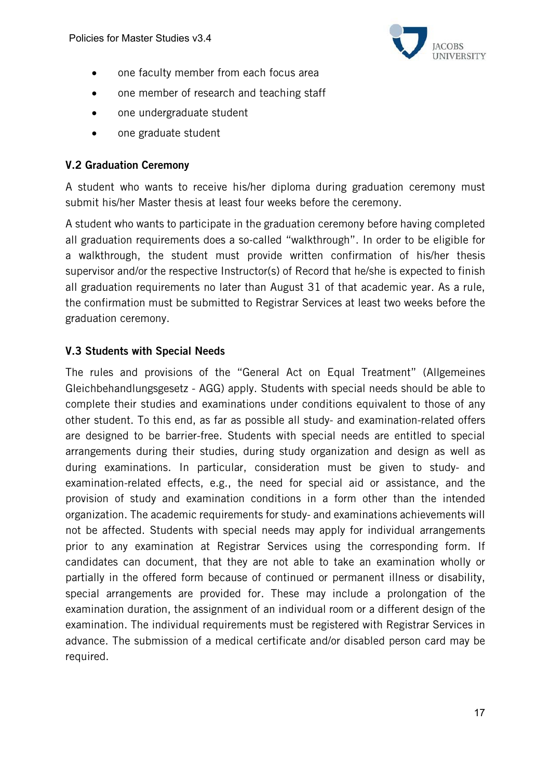

- one faculty member from each focus area
- one member of research and teaching staff
- one undergraduate student
- one graduate student

#### V.2 Graduation Ceremony

A student who wants to receive his/her diploma during graduation ceremony must submit his/her Master thesis at least four weeks before the ceremony.

A student who wants to participate in the graduation ceremony before having completed all graduation requirements does a so-called "walkthrough". In order to be eligible for a walkthrough, the student must provide written confirmation of his/her thesis supervisor and/or the respective Instructor(s) of Record that he/she is expected to finish all graduation requirements no later than August 31 of that academic year. As a rule, the confirmation must be submitted to Registrar Services at least two weeks before the graduation ceremony.

#### V.3 Students with Special Needs

The rules and provisions of the "General Act on Equal Treatment" (Allgemeines Gleichbehandlungsgesetz - AGG) apply. Students with special needs should be able to complete their studies and examinations under conditions equivalent to those of any other student. To this end, as far as possible all study- and examination-related offers are designed to be barrier-free. Students with special needs are entitled to special arrangements during their studies, during study organization and design as well as during examinations. In particular, consideration must be given to study- and examination-related effects, e.g., the need for special aid or assistance, and the provision of study and examination conditions in a form other than the intended organization. The academic requirements for study- and examinations achievements will not be affected. Students with special needs may apply for individual arrangements prior to any examination at Registrar Services using the corresponding form. If candidates can document, that they are not able to take an examination wholly or partially in the offered form because of continued or permanent illness or disability, special arrangements are provided for. These may include a prolongation of the examination duration, the assignment of an individual room or a different design of the examination. The individual requirements must be registered with Registrar Services in advance. The submission of a medical certificate and/or disabled person card may be required.